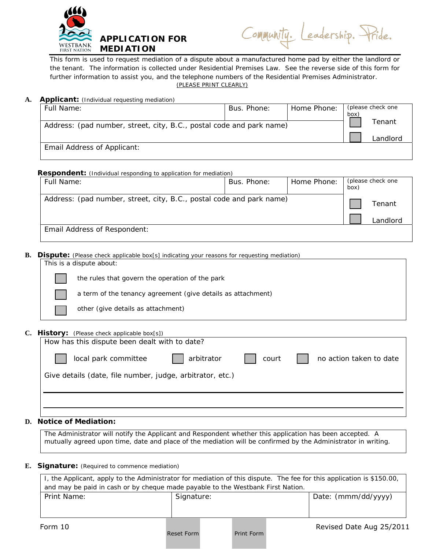

| Community. Leadership. Pride. |  |  |
|-------------------------------|--|--|
|-------------------------------|--|--|

This form is used to request mediation of a dispute about a manufactured home pad by either the landlord or the tenant. The information is collected under Residential Premises Law. See the reverse side of this form for further information to assist you, and the telephone numbers of the Residential Premises Administrator. (PLEASE PRINT CLEARLY)

### A. **Applicant:** (Individual requesting mediation)

| Full Name:                                                           | Bus. Phone: | Home Phone: | box <sup>'</sup> | (please check one |
|----------------------------------------------------------------------|-------------|-------------|------------------|-------------------|
| Address: (pad number, street, city, B.C., postal code and park name) |             | Tenant      |                  |                   |
|                                                                      |             |             |                  | Landlord          |
| Email Address of Applicant:                                          |             |             |                  |                   |

#### **Respondent:** (Individual responding to application for mediation)

| Full Name:                                                           | Bus. Phone: | Home Phone: | (please check one<br>box) |          |
|----------------------------------------------------------------------|-------------|-------------|---------------------------|----------|
| Address: (pad number, street, city, B.C., postal code and park name) |             |             |                           | Tenant   |
|                                                                      |             |             |                           | Landlord |
| Email Address of Respondent:                                         |             |             |                           |          |

**B. Dispute:** (Please check applicable box[s] indicating your reasons for requesting mediation)

| This is a dispute about: |                                                                                                                                                                                                                                     |  |  |
|--------------------------|-------------------------------------------------------------------------------------------------------------------------------------------------------------------------------------------------------------------------------------|--|--|
|                          | the rules that govern the operation of the park                                                                                                                                                                                     |  |  |
|                          | a term of the tenancy agreement (give details as attachment)                                                                                                                                                                        |  |  |
|                          | other (give details as attachment)                                                                                                                                                                                                  |  |  |
|                          | <b>THE REPORT OF A REPORT OF A REPORT OF A REPORT OF A REPORT OF A REPORT OF A REPORT OF A REPORT OF A REPORT OF A REPORT OF A REPORT OF A REPORT OF A REPORT OF A REPORT OF A REPORT OF A REPORT OF A REPORT OF A REPORT OF A </b> |  |  |

## **C. History:** (Please check applicable box[s])

| How has this dispute been dealt with to date?             |            |       |                         |  |  |
|-----------------------------------------------------------|------------|-------|-------------------------|--|--|
| local park committee                                      | arbitrator | court | no action taken to date |  |  |
| Give details (date, file number, judge, arbitrator, etc.) |            |       |                         |  |  |
|                                                           |            |       |                         |  |  |

# **D. Notice of Mediation:**

The Administrator will notify the Applicant and Respondent whether this application has been accepted. A mutually agreed upon time, date and place of the mediation will be confirmed by the Administrator in writing.

### **E. Signature:** (Required to commence mediation)

| I, the Applicant, apply to the Administrator for mediation of this dispute. The fee for this application is \$150.00, |            |  |            |  |                          |
|-----------------------------------------------------------------------------------------------------------------------|------------|--|------------|--|--------------------------|
| and may be paid in cash or by cheque made payable to the Westbank First Nation.                                       |            |  |            |  |                          |
| Print Name:                                                                                                           | Signature: |  |            |  | Date: (mmm/dd/yyyy)      |
| Form 10                                                                                                               | Reset Form |  | Print Form |  | Revised Date Aug 25/2011 |